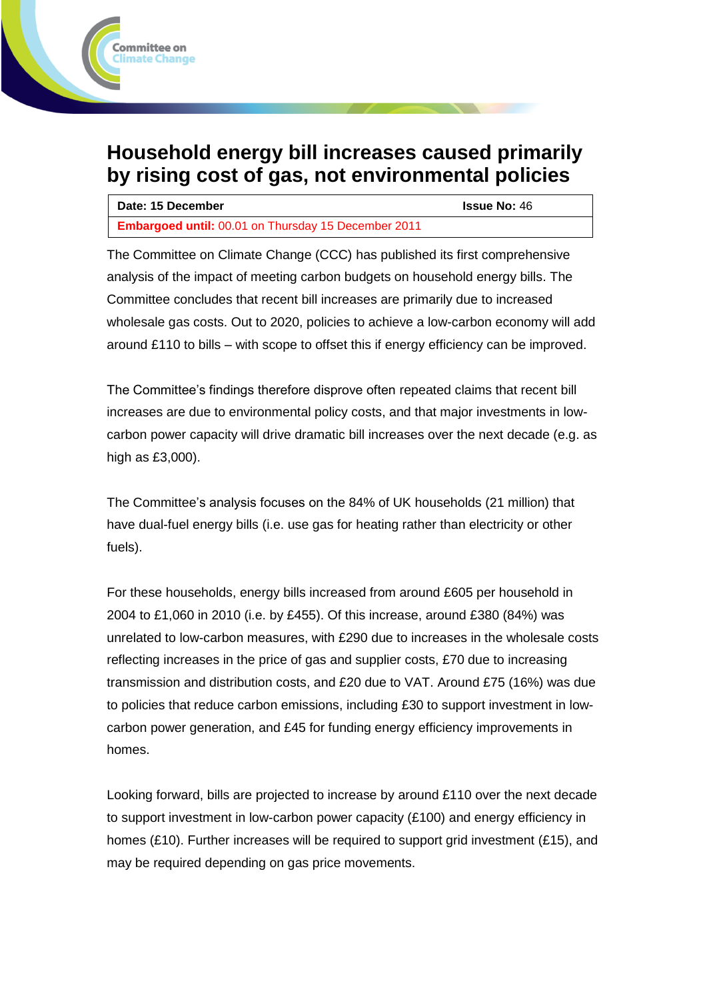# **Household energy bill increases caused primarily by rising cost of gas, not environmental policies**

**Committee on Climate Change** 

| Date: 15 December                                          | <b>Issue No: 46</b> |
|------------------------------------------------------------|---------------------|
| <b>Embargoed until: 00.01 on Thursday 15 December 2011</b> |                     |

The Committee on Climate Change (CCC) has published its first comprehensive analysis of the impact of meeting carbon budgets on household energy bills. The Committee concludes that recent bill increases are primarily due to increased wholesale gas costs. Out to 2020, policies to achieve a low-carbon economy will add around £110 to bills – with scope to offset this if energy efficiency can be improved.

The Committee's findings therefore disprove often repeated claims that recent bill increases are due to environmental policy costs, and that major investments in lowcarbon power capacity will drive dramatic bill increases over the next decade (e.g. as high as £3,000).

The Committee's analysis focuses on the 84% of UK households (21 million) that have dual-fuel energy bills (i.e. use gas for heating rather than electricity or other fuels).

For these households, energy bills increased from around £605 per household in 2004 to £1,060 in 2010 (i.e. by £455). Of this increase, around £380 (84%) was unrelated to low-carbon measures, with £290 due to increases in the wholesale costs reflecting increases in the price of gas and supplier costs, £70 due to increasing transmission and distribution costs, and £20 due to VAT. Around £75 (16%) was due to policies that reduce carbon emissions, including £30 to support investment in lowcarbon power generation, and £45 for funding energy efficiency improvements in homes.

Looking forward, bills are projected to increase by around £110 over the next decade to support investment in low-carbon power capacity (£100) and energy efficiency in homes (£10). Further increases will be required to support grid investment (£15), and may be required depending on gas price movements.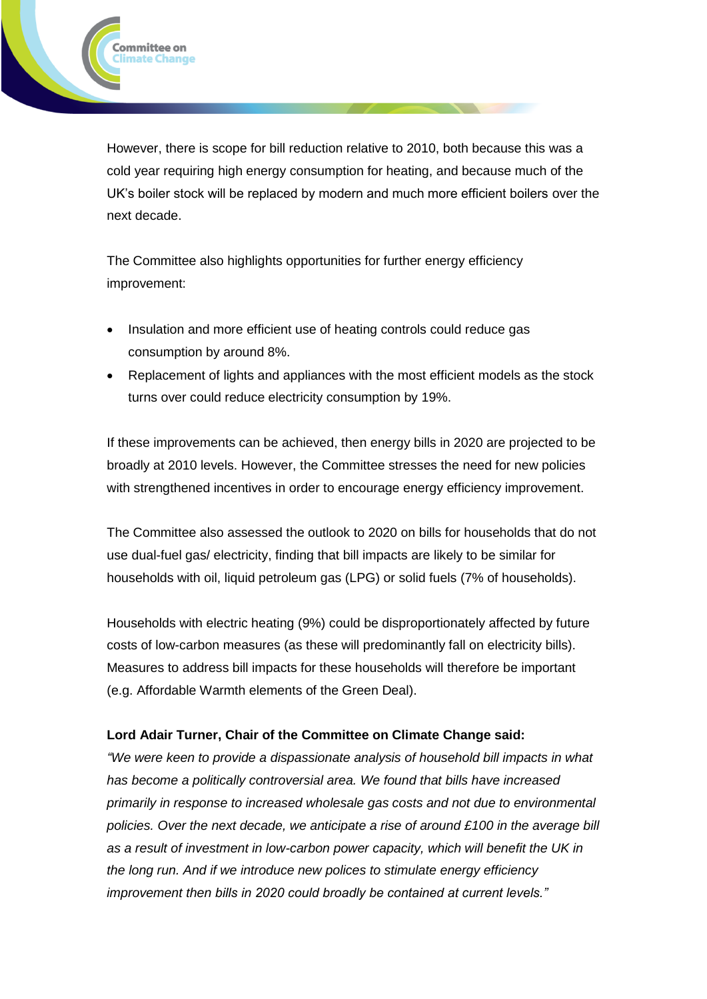However, there is scope for bill reduction relative to 2010, both because this was a cold year requiring high energy consumption for heating, and because much of the UK's boiler stock will be replaced by modern and much more efficient boilers over the next decade.

The Committee also highlights opportunities for further energy efficiency improvement:

**Committee on Climate Change** 

- Insulation and more efficient use of heating controls could reduce gas consumption by around 8%.
- Replacement of lights and appliances with the most efficient models as the stock turns over could reduce electricity consumption by 19%.

If these improvements can be achieved, then energy bills in 2020 are projected to be broadly at 2010 levels. However, the Committee stresses the need for new policies with strengthened incentives in order to encourage energy efficiency improvement.

The Committee also assessed the outlook to 2020 on bills for households that do not use dual-fuel gas/ electricity, finding that bill impacts are likely to be similar for households with oil, liquid petroleum gas (LPG) or solid fuels (7% of households).

Households with electric heating (9%) could be disproportionately affected by future costs of low-carbon measures (as these will predominantly fall on electricity bills). Measures to address bill impacts for these households will therefore be important (e.g. Affordable Warmth elements of the Green Deal).

## **Lord Adair Turner, Chair of the Committee on Climate Change said:**

*"We were keen to provide a dispassionate analysis of household bill impacts in what has become a politically controversial area. We found that bills have increased primarily in response to increased wholesale gas costs and not due to environmental policies. Over the next decade, we anticipate a rise of around £100 in the average bill as a result of investment in low-carbon power capacity, which will benefit the UK in the long run. And if we introduce new polices to stimulate energy efficiency improvement then bills in 2020 could broadly be contained at current levels."*